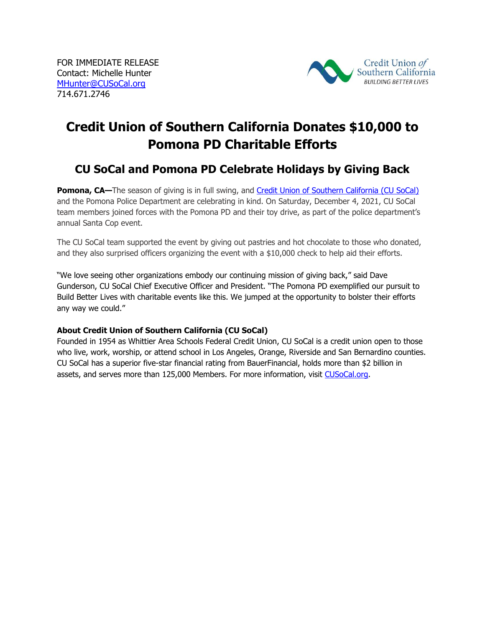

## **Credit Union of Southern California Donates \$10,000 to Pomona PD Charitable Efforts**

## **CU SoCal and Pomona PD Celebrate Holidays by Giving Back**

**Pomona, CA**—The season of giving is in full swing, and [Credit Union of Southern California \(CU SoCal\)](http://www.cusocal.org/) and the Pomona Police Department are celebrating in kind. On Saturday, December 4, 2021, CU SoCal team members joined forces with the Pomona PD and their toy drive, as part of the police department's annual Santa Cop event.

The CU SoCal team supported the event by giving out pastries and hot chocolate to those who donated, and they also surprised officers organizing the event with a \$10,000 check to help aid their efforts.

"We love seeing other organizations embody our continuing mission of giving back," said Dave Gunderson, CU SoCal Chief Executive Officer and President. "The Pomona PD exemplified our pursuit to Build Better Lives with charitable events like this. We jumped at the opportunity to bolster their efforts any way we could."

## **About Credit Union of Southern California (CU SoCal)**

Founded in 1954 as Whittier Area Schools Federal Credit Union, CU SoCal is a credit union open to those who live, work, worship, or attend school in Los Angeles, Orange, Riverside and San Bernardino counties. CU SoCal has a superior five-star financial rating from BauerFinancial, holds more than \$2 billion in assets, and serves more than 125,000 Members. For more information, visit [CUSoCal.org.](http://www.cusocal.org/)